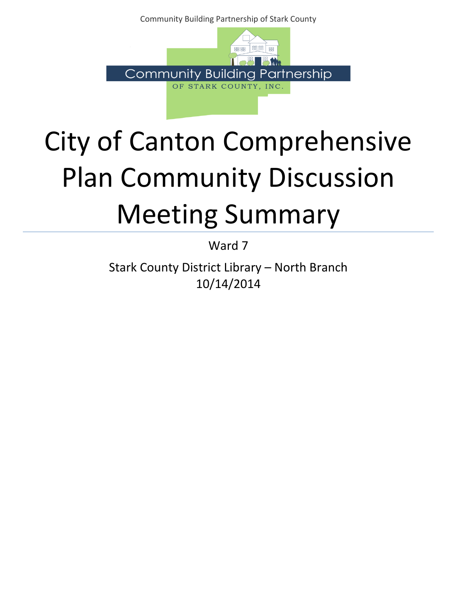Community Building Partnership of Stark County



## City of Canton Comprehensive Plan Community Discussion Meeting Summary

Ward 7

Stark County District Library – North Branch 10/14/2014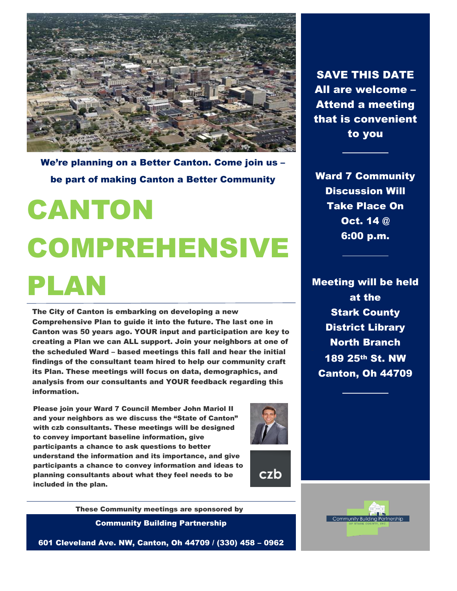

We're planning on a Better Canton. Come join us – be part of making Canton a Better Community

# CANTON COMPREHENSIVE PLAN

The City of Canton is embarking on developing a new Comprehensive Plan to guide it into the future. The last one in Canton was 50 years ago. YOUR input and participation are key to creating a Plan we can ALL support. Join your neighbors at one of the scheduled Ward – based meetings this fall and hear the initial findings of the consultant team hired to help our community craft its Plan. These meetings will focus on data, demographics, and analysis from our consultants and YOUR feedback regarding this information.

Please join your Ward 7 Council Member John Mariol II and your neighbors as we discuss the "State of Canton" with czb consultants. These meetings will be designed to convey important baseline information, give participants a chance to ask questions to better understand the information and its importance, and give participants a chance to convey information and ideas to planning consultants about what they feel needs to be included in the plan.





Community Building Partnership These Community meetings are sponsored by

601 Cleveland Ave. NW, Canton, Oh 44709 / (330) 458 – 0962

SAVE THIS DATE All are welcome – Attend a meeting that is convenient to you

Ward 7 Community Discussion Will Take Place On Oct. 14 @ 6:00 p.m.

Meeting will be held at the Stark County District Library North Branch 189 25th St. NW Canton, Oh 44709

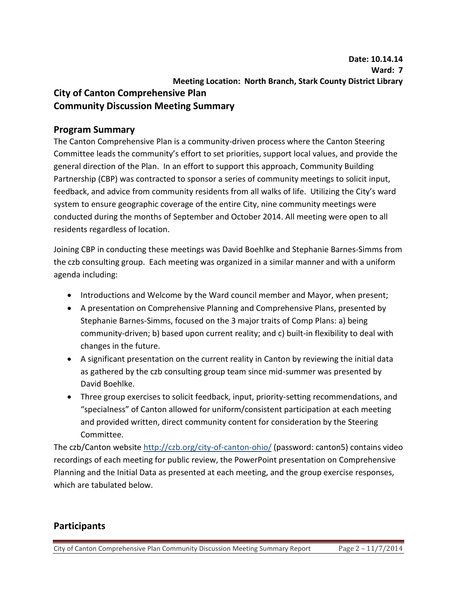### **Program Summary**

The Canton Comprehensive Plan is a community-driven process where the Canton Steering Committee leads the community's effort to set priorities, support local values, and provide the general direction of the Plan. In an effort to support this approach, Community Building Partnership (CBP) was contracted to sponsor a series of community meetings to solicit input, feedback, and advice from community residents from all walks of life. Utilizing the City's ward system to ensure geographic coverage of the entire City, nine community meetings were conducted during the months of September and October 2014. All meeting were open to all residents regardless of location.

Joining CBP in conducting these meetings was David Boehlke and Stephanie Barnes-Simms from the czb consulting group. Each meeting was organized in a similar manner and with a uniform agenda including:

- Introductions and Welcome by the Ward council member and Mayor, when present;
- A presentation on Comprehensive Planning and Comprehensive Plans, presented by Stephanie Barnes-Simms, focused on the 3 major traits of Comp Plans: a) being community-driven; b) based upon current reality; and c) built-in flexibility to deal with changes in the future.
- A significant presentation on the current reality in Canton by reviewing the initial data as gathered by the czb consulting group team since mid-summer was presented by David Boehlke.
- Three group exercises to solicit feedback, input, priority-setting recommendations, and "specialness" of Canton allowed for uniform/consistent participation at each meeting and provided written, direct community content for consideration by the Steering Committee.

The czb/Canton website http://czb.org/city-of-canton-ohio/ (password: canton5) contains video recordings of each meeting for public review, the PowerPoint presentation on Comprehensive Planning and the Initial Data as presented at each meeting, and the group exercise responses, which are tabulated below.

## **Participants**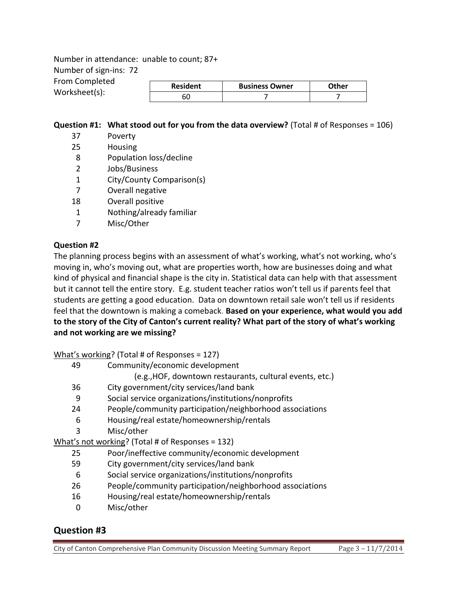Number in attendance: unable to count; 87+ Number of sign-ins: 72 From Completed Worksheet(s):

| <b>Resident</b> | <b>Business Owner</b> | つther |
|-----------------|-----------------------|-------|
|                 |                       |       |

#### **Question #1: What stood out for you from the data overview?** (Total # of Responses = 106)

- 37 Poverty
- 25 Housing
- 8 Population loss/decline
- 2 Jobs/Business
- 1 City/County Comparison(s)
- 7 Overall negative
- 18 Overall positive
- 1 Nothing/already familiar
- 7 Misc/Other

#### **Question #2**

The planning process begins with an assessment of what's working, what's not working, who's moving in, who's moving out, what are properties worth, how are businesses doing and what kind of physical and financial shape is the city in. Statistical data can help with that assessment but it cannot tell the entire story. E.g. student teacher ratios won't tell us if parents feel that students are getting a good education. Data on downtown retail sale won't tell us if residents feel that the downtown is making a comeback. **Based on your experience, what would you add to the story of the City of Canton's current reality? What part of the story of what's working and not working are we missing?** 

What's working? (Total # of Responses = 127)

- 49 Community/economic development
	- (e.g.,HOF, downtown restaurants, cultural events, etc.)
- 36 City government/city services/land bank
- 9 Social service organizations/institutions/nonprofits
- 24 People/community participation/neighborhood associations
- 6 Housing/real estate/homeownership/rentals
- 3 Misc/other

What's not working? (Total # of Responses = 132)

- 25 Poor/ineffective community/economic development
- 59 City government/city services/land bank
- 6 Social service organizations/institutions/nonprofits
- 26 People/community participation/neighborhood associations
- 16 Housing/real estate/homeownership/rentals
- 0 Misc/other

## **Question #3**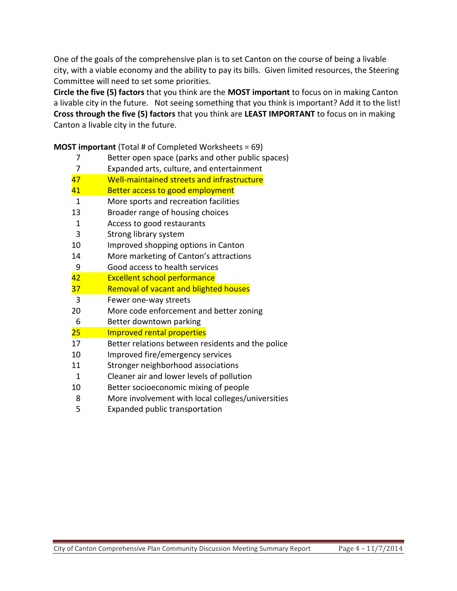One of the goals of the comprehensive plan is to set Canton on the course of being a livable city, with a viable economy and the ability to pay its bills. Given limited resources, the Steering Committee will need to set some priorities.

**Circle the five (5) factors** that you think are the **MOST important** to focus on in making Canton a livable city in the future. Not seeing something that you think is important? Add it to the list! **Cross through the five (5) factors** that you think are **LEAST IMPORTANT** to focus on in making Canton a livable city in the future.

**MOST important** (Total # of Completed Worksheets = 69)

Better open space (parks and other public spaces)

|              | Detter Open space (parks and other public spaces) |  |
|--------------|---------------------------------------------------|--|
| 7            | Expanded arts, culture, and entertainment         |  |
| 47           | Well-maintained streets and infrastructure        |  |
| 41           | Better access to good employment                  |  |
| $\mathbf{1}$ | More sports and recreation facilities             |  |
| 13           | Broader range of housing choices                  |  |
| 1            | Access to good restaurants                        |  |
| 3            | Strong library system                             |  |
| 10           | Improved shopping options in Canton               |  |
| 14           | More marketing of Canton's attractions            |  |
| 9            | Good access to health services                    |  |
| 42           | <b>Excellent school performance</b>               |  |
| 37           | Removal of vacant and blighted houses             |  |
| 3            | Fewer one-way streets                             |  |
| 20           | More code enforcement and better zoning           |  |
| 6            | Better downtown parking                           |  |
| 25           | <b>Improved rental properties</b>                 |  |
| 17           | Better relations between residents and the police |  |
| 10           | Improved fire/emergency services                  |  |
| 11           | Stronger neighborhood associations                |  |
| 1            | Cleaner air and lower levels of pollution         |  |
| 10           | Better socioeconomic mixing of people             |  |
| 8            | More involvement with local colleges/universities |  |

Expanded public transportation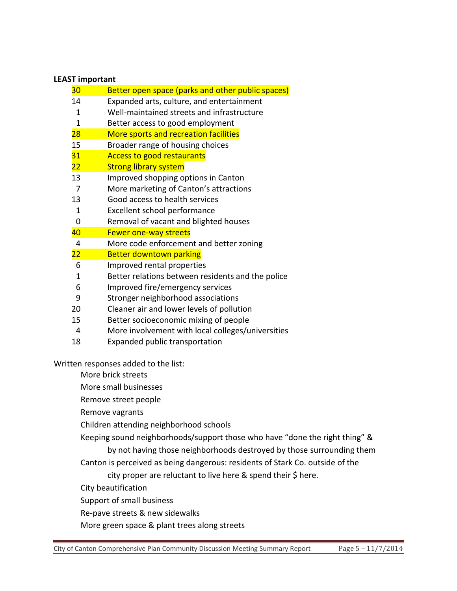#### **LEAST important**

|                    | 30                                               | Better open space (parks and other public spaces) |  |
|--------------------|--------------------------------------------------|---------------------------------------------------|--|
|                    | 14                                               | Expanded arts, culture, and entertainment         |  |
|                    | 1                                                | Well-maintained streets and infrastructure        |  |
|                    | Better access to good employment<br>$\mathbf{1}$ |                                                   |  |
|                    | 28                                               | More sports and recreation facilities             |  |
|                    | 15                                               | Broader range of housing choices                  |  |
|                    | 31                                               | <b>Access to good restaurants</b>                 |  |
|                    | 22                                               | <b>Strong library system</b>                      |  |
|                    | 13                                               | Improved shopping options in Canton               |  |
|                    | 7                                                | More marketing of Canton's attractions            |  |
|                    | 13                                               | Good access to health services                    |  |
|                    | 1                                                | Excellent school performance                      |  |
|                    | 0                                                | Removal of vacant and blighted houses             |  |
|                    | 40                                               | <b>Fewer one-way streets</b>                      |  |
|                    | 4                                                | More code enforcement and better zoning           |  |
|                    | 22                                               | <b>Better downtown parking</b>                    |  |
|                    | 6                                                | Improved rental properties                        |  |
|                    | $\mathbf{1}$                                     | Better relations between residents and the police |  |
|                    | 6                                                | Improved fire/emergency services                  |  |
|                    | 9                                                | Stronger neighborhood associations                |  |
|                    | 20                                               | Cleaner air and lower levels of pollution         |  |
|                    | 15                                               | Better socioeconomic mixing of people             |  |
|                    | 4                                                | More involvement with local colleges/universities |  |
|                    | 18                                               | Expanded public transportation                    |  |
|                    |                                                  | Written responses added to the list:              |  |
| More brick streets |                                                  |                                                   |  |
|                    | More small businesses                            |                                                   |  |
|                    | Remove street people                             |                                                   |  |

Remove vagrants

Children attending neighborhood schools

Keeping sound neighborhoods/support those who have "done the right thing" &

by not having those neighborhoods destroyed by those surrounding them

Canton is perceived as being dangerous: residents of Stark Co. outside of the

city proper are reluctant to live here & spend their \$ here.

City beautification

Support of small business

Re-pave streets & new sidewalks

More green space & plant trees along streets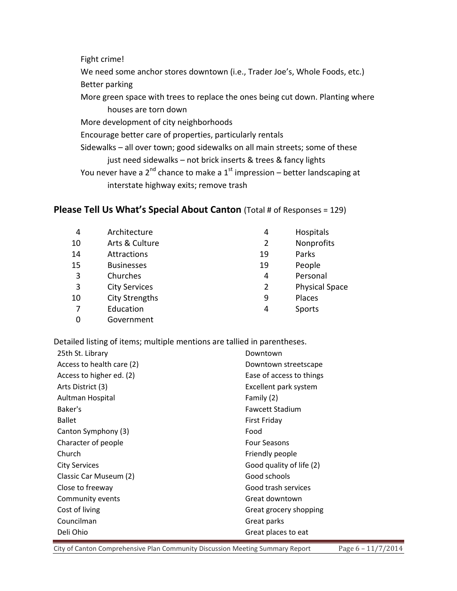Fight crime! We need some anchor stores downtown (i.e., Trader Joe's, Whole Foods, etc.) Better parking More green space with trees to replace the ones being cut down. Planting where houses are torn down More development of city neighborhoods Encourage better care of properties, particularly rentals Sidewalks – all over town; good sidewalks on all main streets; some of these just need sidewalks – not brick inserts & trees & fancy lights You never have a  $2^{nd}$  chance to make a  $1^{st}$  impression – better landscaping at interstate highway exits; remove trash

#### **Please Tell Us What's Special About Canton** (Total # of Responses = 129)

| 4  | Architecture          | 4  | Hospitals             |
|----|-----------------------|----|-----------------------|
| 10 | Arts & Culture        | 2  | Nonprofits            |
| 14 | Attractions           | 19 | Parks                 |
| 15 | <b>Businesses</b>     | 19 | People                |
| 3  | Churches              | 4  | Personal              |
| 3  | <b>City Services</b>  | 2  | <b>Physical Space</b> |
| 10 | <b>City Strengths</b> | 9  | Places                |
|    | Education             | 4  | Sports                |
|    | Government            |    |                       |

Detailed listing of items; multiple mentions are tallied in parentheses.

| 25th St. Library          | Downtown                 |  |
|---------------------------|--------------------------|--|
| Access to health care (2) | Downtown streetscape     |  |
| Access to higher ed. (2)  | Ease of access to things |  |
| Arts District (3)         | Excellent park system    |  |
| Aultman Hospital          | Family (2)               |  |
| Baker's                   | <b>Fawcett Stadium</b>   |  |
| <b>Ballet</b>             | <b>First Friday</b>      |  |
| Canton Symphony (3)       | Food                     |  |
| Character of people       | <b>Four Seasons</b>      |  |
| Church                    | Friendly people          |  |
| <b>City Services</b>      | Good quality of life (2) |  |
| Classic Car Museum (2)    | Good schools             |  |
| Close to freeway          | Good trash services      |  |
| Community events          | Great downtown           |  |
| Cost of living            | Great grocery shopping   |  |
| Councilman                | Great parks              |  |
| Deli Ohio                 | Great places to eat      |  |

City of Canton Comprehensive Plan Community Discussion Meeting Summary Report Page 6 – 11/7/2014